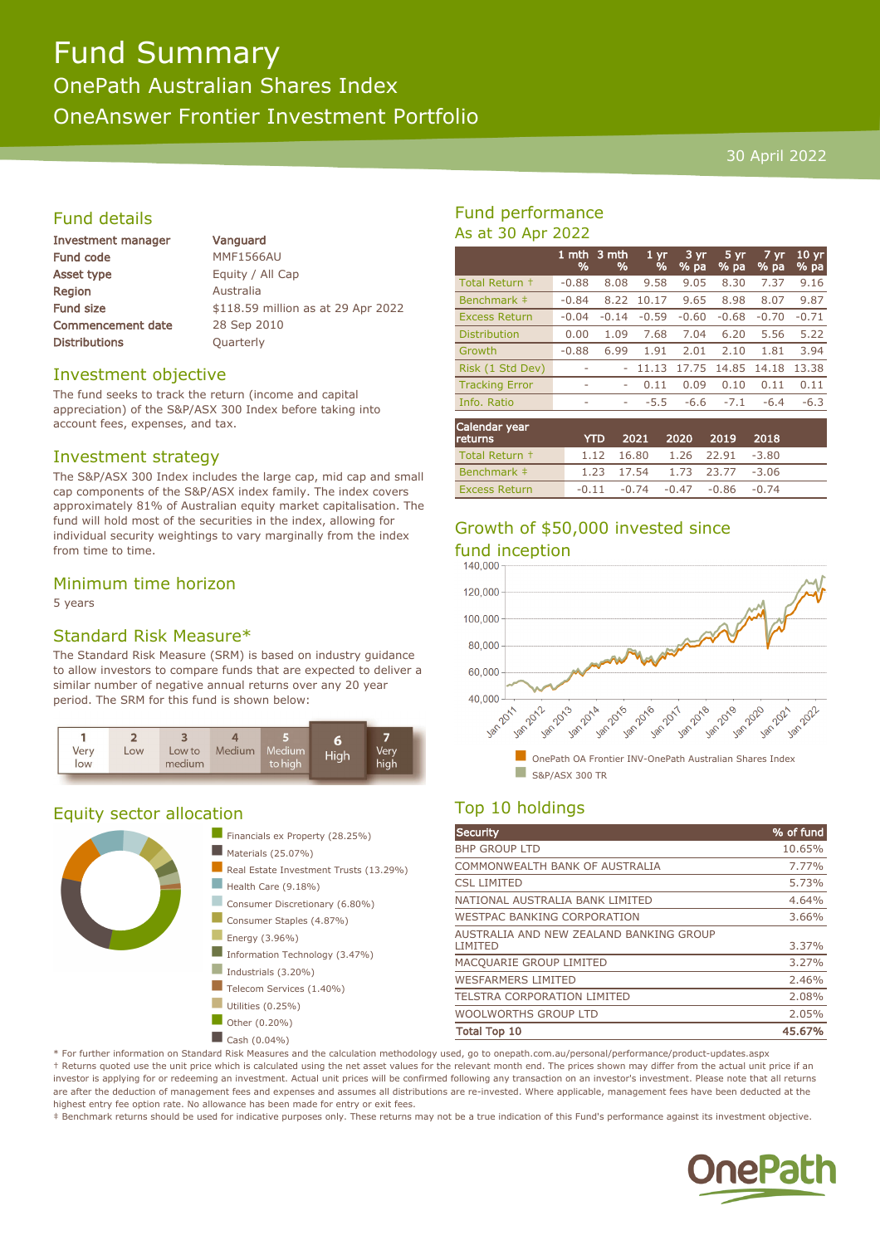# Fund Summary

OnePath Australian Shares Index OneAnswer Frontier Investment Portfolio

#### 30 April 2022

## Fund details

| <b>Investment manager</b> |
|---------------------------|
| <b>Fund code</b>          |
| <b>Asset type</b>         |
| Region                    |
| <b>Fund size</b>          |
| <b>Commencement date</b>  |
| <b>Distributions</b>      |

Vanguard **MMF1566AU** Equity / All Cap **Australia** \$118.59 million as at 29 Apr 2022 28 Sep 2010 **Ouarterly** 

## Investment objective

The fund seeks to track the return (income and capital appreciation) of the S&P/ASX 300 Index before taking into account fees, expenses, and tax.

## Investment strategy

The S&P/ASX 300 Index includes the large cap, mid cap and small cap components of the S&P/ASX index family. The index covers approximately 81% of Australian equity market capitalisation. The fund will hold most of the securities in the index, allowing for individual security weightings to vary marginally from the index from time to time.

## Minimum time horizon

5 years

## Standard Risk Measure\*

The Standard Risk Measure (SRM) is based on industry guidance to allow investors to compare funds that are expected to deliver a similar number of negative annual returns over any 20 year period. The SRM for this fund is shown below:



## Equity sector allocation



## Fund performance As at 30 Apr 2022

|                       | 1 mth<br>% | 3 mth<br>% | 1 <sub>yr</sub><br>% | $3 \overline{yr}$<br>% pa | $5 \,\mathrm{yr}$<br>% pa | $7 \,\mathrm{yr}$<br>% pa | $10 \,\mathrm{yr}$<br>% pa |
|-----------------------|------------|------------|----------------------|---------------------------|---------------------------|---------------------------|----------------------------|
| Total Return +        | $-0.88$    | 8.08       | 9.58                 | 9.05                      | 8.30                      | 7.37                      | 9.16                       |
| Benchmark ‡           | $-0.84$    | 8.22       | 10.17                | 9.65                      | 8.98                      | 8.07                      | 9.87                       |
| <b>Excess Return</b>  | $-0.04$    | $-0.14$    | $-0.59$              | $-0.60$                   | $-0.68$                   | $-0.70$                   | $-0.71$                    |
| <b>Distribution</b>   | 0.00       | 1.09       | 7.68                 | 7.04                      | 6.20                      | 5.56                      | 5.22                       |
| Growth                | $-0.88$    | 6.99       | 1.91                 | 2.01                      | 2.10                      | 1.81                      | 3.94                       |
| Risk (1 Std Dev)      |            |            | 11.13                | 17.75                     | 14.85                     | 14.18                     | 13.38                      |
| <b>Tracking Error</b> | ۰          | ۰          | 0.11                 | 0.09                      | 0.10                      | 0.11                      | 0.11                       |
| Info. Ratio           | ۰          | ۰          | -5.5                 | -6.6                      | $-7.1$                    | $-6.4$                    | $-6.3$                     |
|                       |            |            |                      |                           |                           |                           |                            |

| Calendar year<br><b>returns</b> | <b>YTD</b> |                                         | 2021 2020 2019 2018 |  |
|---------------------------------|------------|-----------------------------------------|---------------------|--|
| Total Return +                  |            | 1.12 16.80 1.26 22.91 -3.80             |                     |  |
| Benchmark #                     |            | 1.23 17.54 1.73 23.77 -3.06             |                     |  |
| <b>Excess Return</b>            |            | $-0.11$ $-0.74$ $-0.47$ $-0.86$ $-0.74$ |                     |  |

## Growth of \$50,000 invested since



## Top 10 holdings

| <b>Security</b>                                    | % of fund |
|----------------------------------------------------|-----------|
| <b>BHP GROUP LTD</b>                               | 10.65%    |
| COMMONWEALTH BANK OF AUSTRALIA                     | 7.77%     |
| <b>CSL LIMITED</b>                                 | 5.73%     |
| NATIONAL AUSTRALIA BANK LIMITED                    | 4.64%     |
| <b>WESTPAC BANKING CORPORATION</b>                 | 3.66%     |
| AUSTRALIA AND NEW ZEALAND BANKING GROUP<br>LIMITED | 3.37%     |
| MACQUARIE GROUP LIMITED                            | 3.27%     |
| <b>WESFARMERS LIMITED</b>                          | 2.46%     |
| <b>TELSTRA CORPORATION LIMITED</b>                 | 2.08%     |
| <b>WOOLWORTHS GROUP LTD</b>                        | 2.05%     |
| <b>Total Top 10</b>                                | 45.67%    |

\* For further information on Standard Risk Measures and the calculation methodology used, go to onepath.com.au/personal/performance/product-updates.aspx † Returns quoted use the unit price which is calculated using the net asset values for the relevant month end. The prices shown may differ from the actual unit price if an investor is applying for or redeeming an investment. Actual unit prices will be confirmed following any transaction on an investor's investment. Please note that all returns are after the deduction of management fees and expenses and assumes all distributions are re-invested. Where applicable, management fees have been deducted at the highest entry fee option rate. No allowance has been made for entry or exit fees.

‡ Benchmark returns should be used for indicative purposes only. These returns may not be a true indication of this Fund's performance against its investment objective.